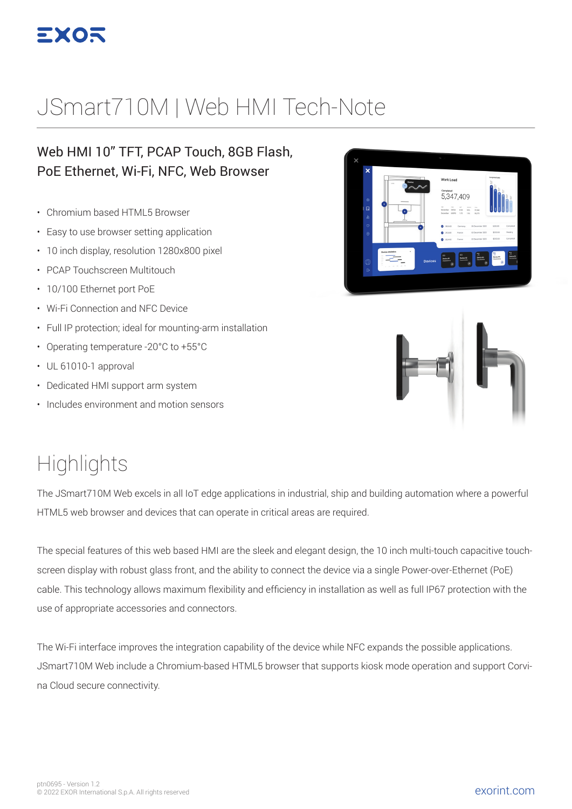

## JSmart710M | Web HMI Tech-Note

#### Web HMI 10" TFT, PCAP Touch, 8GB Flash, PoE Ethernet, Wi-Fi, NFC, Web Browser

- Chromium based HTML5 Browser
- Easy to use browser setting application
- 10 inch display, resolution 1280x800 pixel
- PCAP Touchscreen Multitouch
- 10/100 Ethernet port PoE
- Wi-Fi Connection and NFC Device
- Full IP protection; ideal for mounting-arm installation
- Operating temperature -20°C to +55°C
- UL 61010-1 approval
- Dedicated HMI support arm system
- Includes environment and motion sensors

# Work Load 5.347.409



## **Highlights**

The JSmart710M Web excels in all IoT edge applications in industrial, ship and building automation where a powerful HTML5 web browser and devices that can operate in critical areas are required.

The special features of this web based HMI are the sleek and elegant design, the 10 inch multi-touch capacitive touchscreen display with robust glass front, and the ability to connect the device via a single Power-over-Ethernet (PoE) cable. This technology allows maximum flexibility and efficiency in installation as well as full IP67 protection with the use of appropriate accessories and connectors.

The Wi-Fi interface improves the integration capability of the device while NFC expands the possible applications. JSmart710M Web include a Chromium-based HTML5 browser that supports kiosk mode operation and support Corvina Cloud secure connectivity.